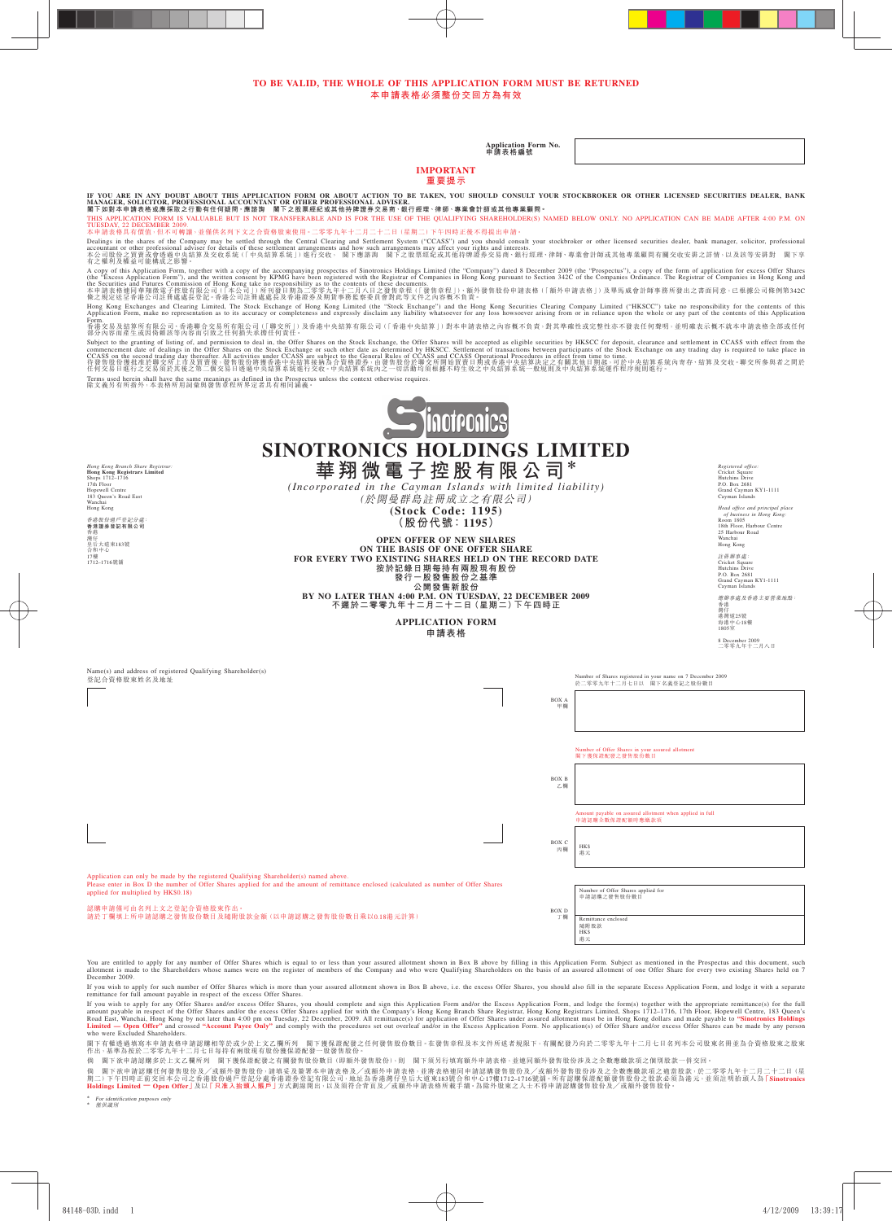#### **TO BE VALID, THE WHOLE OF THIS APPLICATION FORM MUST BE RETURNED 本申請表格必須整份交回方為有效**

**Application Form No. 申請表格編號**

#### **IMPORTANT 重要提示**

IF YOU ARE IN ANY DOUBT ABOUT THIS APPLICATION FORM OR ABOUT ACTION TO BE TAKEN, YOU SHOULD CONSULT YOUR STOCKBROKER OR OTHER LICENSED SECURITIES DEALER, BANK<br>MANAGER, SOLICITOR, PROFESSIONAL ACCOUNTANT OR OTHER PROFESSIO

TUESDAY, 22 DECEMBER 2009.<br>本申請表格具有價值,但不可轉讓,並僅供名列下文之合資格股東使用。二零零九年十二月二十二日(星期二)下午四時正後不得提出申請。

Dealings in the shares of the Company may be settled through the Central Clearing and Settlement System ("CCASS") and your stockbroker or other licensed securities dealer, bank manager, solicitor, professional adviser for

A copy of this Application Form,"), and the written consent by KPMG have benne registered with the Registrar of Companics Holdings Limited (the "Eccess Application for excess Offer Shares Are licked and Futures Commission

Hong Kong Exchanges and Clearing Limited, The Stock Exchange of Hong Kong Limited (the "Stock Exchange") and the Hong Kong Securities Clearing Company Limited ("HKSCC") take no responstbility of or the contents of this App Form.<br>香港交易及結算所有限公司、香港聯合交易所有限公司(「聯交所」)及香港中央結算有限公司(「香港中央結算」)對本申請表格之內容概不負責,對其準確性或完整性亦不發表任何聲明,並明確表示概不就本申請表格全部或任何<br>部分內容而產生或因倚賴該等內容而引致之任何損失承擔任何責任。

Subject to the graning of listing of, and permission to deal in, the Offer Shares on the Stock Exchange or such other date as determined by HKSCC. Settlement of transactions between participants of the Stock Exchange on a

Terms used herein shall have the same meanings as defined in the Prospectus unless the context otherwise requires. 除文義另有所指外,本表格所用詞彙與發售章程所界定者具有相同涵義。



**SINOTRONICS HOLDINGS LIMITED**

*Hong Kong Branch Share Registrar:* **Hong Kong Registrars Limited** Shops 1712–1716 17th Floor Hopewell Centre 183 Queen's Road East Wanchai Wanchai<br>Hong Kong 香港股份過戶登記分處: **香港證券登記有限公司** 香港 灣仔 皇后大道東183號 合和中心 17樓 1712–1716號舖

**華翔微電子控股有限公司**\* *(Incorporated in the Cayman Islands with limited liability)* (於開曼群島註冊成立之有限公司) **(Stock Code: 1195)**

**(股份代號:1195)**

**OPEN OFFER OF NEW SHARES ON THE BASIS OF ONE OFFER SHARE** FOR EVERY TWO EXISTING SHARES HELD ON THE RECORD DATE **按於記錄日期每持有兩股現有股份 發行一股發售股份之基準 公開發售新股份 BY NO LATER THAN 4:00 P.M. ON TUESDAY, 22 DECEMBER 2009 不遲於二零零九年十二月二十二日(星期二)下午四時正**

> **APPLICATION FORM 申請表格**

*Registered office:*<br>
Hutchins Drive<br>
Hutchins Drive<br>
P.O. Box 2681<br>
Grand Cayman KY1-1111<br>
Cayman Islands

*Head office and principal place of business in Hong Kong:* Room 1805 18th Floor, Harbour Centre 25 Harbour Road Wanchai Hong Kong 註冊鮮事處:<br>Cricket Square<br>Hutchins Drive<br>P.O. Box 2681<br>Grand Cayman KY1-1111<br>Cayman Islands

總辦事處及香港主要營業地點:

香港 灣仔 港灣道25號 海港中心18樓 1805室

8 December 2009 二零零九年十二月八日

| Name(s) and address of registered Qualifying Shareholder(s)<br>登記合資格股東姓名及地址                                                                                                                                                                                                                            |             | Number of Shares registered in your name on 7 December 2009<br>於二零零九年十二月七日以 閣下名義登記之股份數目 |
|--------------------------------------------------------------------------------------------------------------------------------------------------------------------------------------------------------------------------------------------------------------------------------------------------------|-------------|-----------------------------------------------------------------------------------------|
|                                                                                                                                                                                                                                                                                                        | BOX A<br>甲欄 |                                                                                         |
|                                                                                                                                                                                                                                                                                                        |             |                                                                                         |
|                                                                                                                                                                                                                                                                                                        |             |                                                                                         |
|                                                                                                                                                                                                                                                                                                        |             | Number of Offer Shares in your assured allotment<br>閣下獲保證配發之發售股份數目                      |
|                                                                                                                                                                                                                                                                                                        | BOX B<br>乙欄 |                                                                                         |
|                                                                                                                                                                                                                                                                                                        |             |                                                                                         |
|                                                                                                                                                                                                                                                                                                        |             | Amount payable on assured allotment when applied in full<br>申請認購全數保證配額時應繳款項             |
|                                                                                                                                                                                                                                                                                                        | BOX C<br>丙欄 | <b>HKS</b><br>港元                                                                        |
| Application can only be made by the registered Qualifying Shareholder(s) named above.<br>Please enter in Box D the number of Offer Shares applied for and the amount of remittance enclosed (calculated as number of Offer Shares                                                                      |             |                                                                                         |
| applied for multiplied by HK\$0.18)                                                                                                                                                                                                                                                                    |             | Number of Offer Shares applied for<br>申請認購之發售股份數目                                       |
| 認購申請僅可由名列上文之登記合資格股東作出。<br>請於丁欄填上所申請認購之發售股份數目及隨附股款金額(以申請認購之發售股份數目乘以0.18港元計算)                                                                                                                                                                                                                            | BOX D<br>丁欄 | Remittance enclosed<br>隨附股款<br><b>HKS</b><br>港元                                         |
| You are entitled to apply for any number of Offer Shares which is equal to or less than your assured allotment shown in Box B above by filling in this Application Form. Subject as mentioned in the Prospectus and this docum<br><u>a safa sisa nasaras si</u><br>the contract of the contract of the |             |                                                                                         |

ders whose names were on the register of members of the Company and who were Qualifying Shareholders on the basis of an assured allotment of one Offer Share for every two existing Shares held on ' allotment is ma-<br>December 2009.

If you wish to apply for such number of Offer Shares which is more than your assured allotment shown in Box B above, i.e. the excess Offer Shares, you should also fill in the separate Excess Application Form, and lodge it

If you wish to apply for any Offer Shares and/or encess Offer Shares applied bor with the Company's Hong Kong Branch Share Registrar, Hong Kong Registrars Limited, Shops 1712–1716, 17th Floor, Hopewell Centre, 183 Queen's<br>

閣下有權迹過填寫本申請表格申請認購相等於或少於上文乙欄所列 | 閣下獲保證配發之任何發售股份數目。在發售章程及本文件所述者規限下,有關配發乃向於二零零九年十二月七日名列本公司股東名冊並為合資格股東之股東<br>作出,基準為按於二零零九年十二月七日每持有兩股現有股份獲保證配發一股發售股份。<br>倘 閣下欲申請認購多於上文乙欄所列 閣下獲保證配發之有關發售股份數目(即額外發售股份),則 閣下須另行填寫額外申請表格,並連同額外發售股份涉及之全數應繳款項之

倘 閣下欲申請認購任何發售股份及/或額外發售股份→請填妥及簽署本申請表格及/或額外申請表格,並將表格連同申請認購發售股份及/或額外發售股份涉及之全數應繳款項之適當股款,於二零零九年十二月二十二日(星<br>期二)下午国時正前交回本公司之香港股份過戶登記分處香港證券發記有限公司,地址為香港灣任皇后大道東183號合和中心17樓1712–1716號鋪。所有認購保證發質股份公股款必須為港元,並須註明抬頭人為「Sinotronics<br>Holdings

\* For identification purposes only \* 僅供識別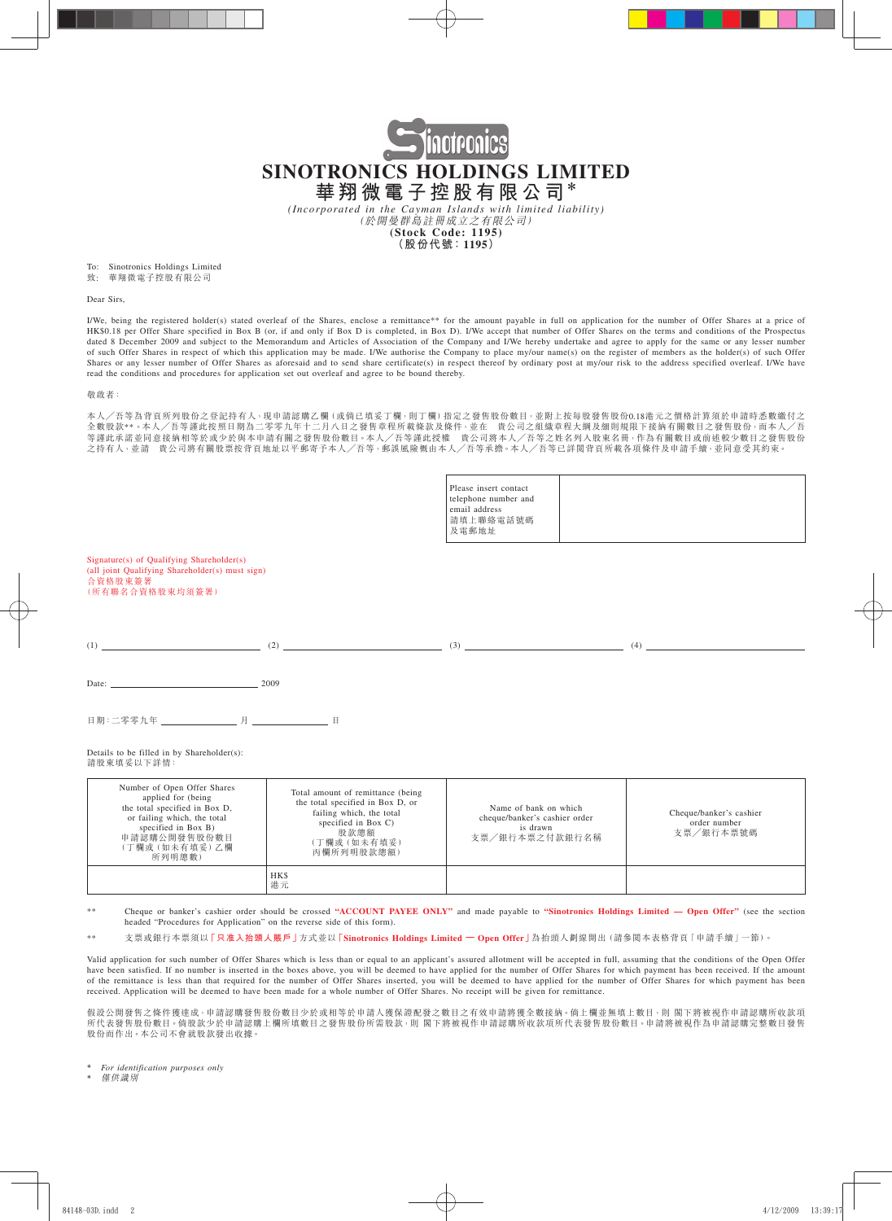

*(Incorporated in the Cayman Islands with limited liability)* (於開曼群島註冊成立之有限公司) **(Stock Code: 1195)**

**(股份代號:1195)**

To: Sinotronics Holdings Limited<br>致: 華翔微電子控股有限公司

致: 華翔微電子控股有限公司

Dear Sirs,

I/We, being the registered holder(s) stated overleaf of the Shares, enclose a remittance\*\* for the amount payable in full on application for the number of Offer Shares at a price of HK\$0.18 per Offer Share specified in Box B (or, if and only if Box D is completed, in Box D). I/We accept that number of Offer Shares on the terms and conditions of the Prospectus dated 8 December 2009 and subject to the Memorandum and Articles of Association of the Company and I/We hereby undertake and agree to apply for the same or any lesser number of such Offer Shares in respect of which this application may be made. I/We authorise the Company to place my/our name(s) on the register of members as the holder(s) of such Offer Shares or any lesser number of Offer Shares as aforesaid and to send share certificate(s) in respect thereof by ordinary post at my/our risk to the address specified overleaf. I/We have read the conditions and procedures for application set out overleaf and agree to be bound thereby.

#### 敬啟者:

本人╱吾等為背頁所列股份之登記持有人,現申請認購乙欄(或倘已填妥丁欄,則丁欄)指定之發售股份數目,並附上按每股發售股份0.18港元之價格計算須於申請時悉數繳付之 全數股款\*\*。本人/吾等謹此按照日期為二零零九年十二月八日之發售章程所載條款及條件,並在 貴公司之組織章程大綱及細則規限下接納有關數目之發售股份,而本人/吾 等謹此承諾並同意接納相等於或少於與本申請有關之發售股份數目。本人╱吾等謹此授權 貴公司將本人╱吾等之姓名列入股東名冊,作為有關數目或前述較少數目之發售股份 之持有人,並請 貴公司將有關股票按背頁地址以平郵寄予本人╱吾等,郵誤風險概由本人╱吾等承擔。本人╱吾等已詳閱背頁所載各項條件及申請手續,並同意受其約束。

|                                                                                                                                                                                      |                                                                                                                                                                | Please insert contact<br>telephone number and<br>email address<br>請填上聯絡電話號碼<br>及電郵地址          |                                                                                                                                                                                                                                                                                                                                                                       |
|--------------------------------------------------------------------------------------------------------------------------------------------------------------------------------------|----------------------------------------------------------------------------------------------------------------------------------------------------------------|-----------------------------------------------------------------------------------------------|-----------------------------------------------------------------------------------------------------------------------------------------------------------------------------------------------------------------------------------------------------------------------------------------------------------------------------------------------------------------------|
| Signature(s) of Qualifying Shareholder(s)<br>(all joint Qualifying Shareholder(s) must sign)<br>合資格股東簽署<br>(所有聯名合資格股東均須簽署)                                                           |                                                                                                                                                                |                                                                                               |                                                                                                                                                                                                                                                                                                                                                                       |
|                                                                                                                                                                                      |                                                                                                                                                                | $(1)$ (1) (2) (2) (3) (3)                                                                     | $\begin{picture}(4) \put(0,0){\vector(1,0){100}} \put(15,0){\vector(1,0){100}} \put(15,0){\vector(1,0){100}} \put(15,0){\vector(1,0){100}} \put(15,0){\vector(1,0){100}} \put(15,0){\vector(1,0){100}} \put(15,0){\vector(1,0){100}} \put(15,0){\vector(1,0){100}} \put(15,0){\vector(1,0){100}} \put(15,0){\vector(1,0){100}} \put(15,0){\vector(1,0){100}} \put(15$ |
| Date: 2009                                                                                                                                                                           |                                                                                                                                                                |                                                                                               |                                                                                                                                                                                                                                                                                                                                                                       |
| 目期:二零零九年 ________________ 月 _______________ 日                                                                                                                                        |                                                                                                                                                                |                                                                                               |                                                                                                                                                                                                                                                                                                                                                                       |
| Details to be filled in by Shareholder(s):<br>請股東填妥以下詳情:                                                                                                                             |                                                                                                                                                                |                                                                                               |                                                                                                                                                                                                                                                                                                                                                                       |
| Number of Open Offer Shares<br>applied for (being)<br>the total specified in Box D,<br>or failing which, the total<br>specified in Box B)<br>申請認購公開發售股份數目<br>(丁欄或(如未有填妥)乙欄<br>所列明總數) | Total amount of remittance (being<br>the total specified in Box D, or<br>failing which, the total<br>specified in Box C)<br>股款總額<br>(丁欄或 (如未有填妥)<br>丙欄所列明股款總額) | Name of bank on which<br>cheque/banker's cashier order<br>is drawn<br>支票/銀行本票之付款銀行名稱          | Cheque/banker's cashier<br>order number<br>支票/銀行本票號碼                                                                                                                                                                                                                                                                                                                  |
|                                                                                                                                                                                      | HK\$<br>港元                                                                                                                                                     |                                                                                               |                                                                                                                                                                                                                                                                                                                                                                       |
| **<br>headed "Procedures for Application" on the reverse side of this form).                                                                                                         |                                                                                                                                                                |                                                                                               | Cheque or banker's cashier order should be crossed "ACCOUNT PAYEE ONLY" and made payable to "Sinotronics Holdings Limited — Open Offer" (see the section                                                                                                                                                                                                              |
| **                                                                                                                                                                                   |                                                                                                                                                                | 支票或銀行本票須以「只准入抬頭人賬戶」方式並以「Sinotronics Holdings Limited — Open Offer」為抬頭人劃線開出(請參閲本表格背頁「申請手續」一節)。 |                                                                                                                                                                                                                                                                                                                                                                       |

Valid application for such number of Offer Shares which is less than or equal to an applicant's assured allotment will be accepted in full, assuming that the conditions of the Open Offer have been satisfied. If no number is inserted in the boxes above, you will be deemed to have applied for the number of Offer Shares for which payment has been received. If the amount of the remittance is less than that required for the number of Offer Shares inserted, you will be deemed to have applied for the number of Offer Shares for which payment has been received. Application will be deemed to have been made for a whole number of Offer Shares. No receipt will be given for remittance.

假設公開發售之條件獲達成,申請認購發售股份數目少於或相等於申請人獲保證配發之數目之有效申請將獲全數接納。倘上欄並無填上數目,則 閣下將被視作申請認購所收款項 所代表發售股份數目。倘股款少於申請認購上欄所填數目之發售股份所需股款,則 閣下將被視作申請認購所收款項所代表發售股份數目。申請將被視作為申請認購完整數目發售 股份而作出。本公司不會就股款發出收據。

 $For$  *identification purposes only* 

僅供識別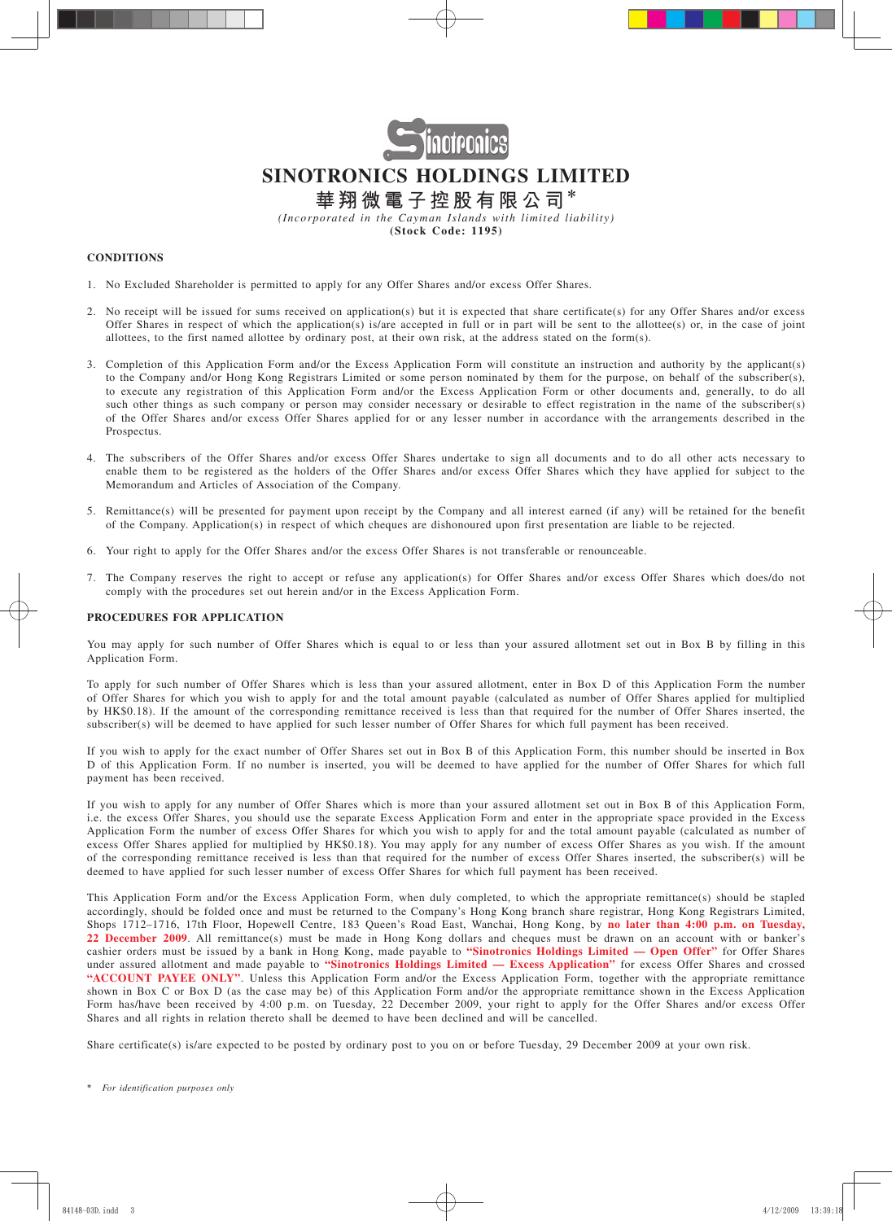

*(Incorporated in the Cayman Islands with limited liability)* **(Stock Code: 1195)**

### **CONDITIONS**

- 1. No Excluded Shareholder is permitted to apply for any Offer Shares and/or excess Offer Shares.
- 2. No receipt will be issued for sums received on application(s) but it is expected that share certificate(s) for any Offer Shares and/or excess Offer Shares in respect of which the application(s) is/are accepted in full or in part will be sent to the allottee(s) or, in the case of joint allottees, to the first named allottee by ordinary post, at their own risk, at the address stated on the form(s).
- 3. Completion of this Application Form and/or the Excess Application Form will constitute an instruction and authority by the applicant(s) to the Company and/or Hong Kong Registrars Limited or some person nominated by them for the purpose, on behalf of the subscriber(s), to execute any registration of this Application Form and/or the Excess Application Form or other documents and, generally, to do all such other things as such company or person may consider necessary or desirable to effect registration in the name of the subscriber(s) of the Offer Shares and/or excess Offer Shares applied for or any lesser number in accordance with the arrangements described in the Prospectus.
- 4. The subscribers of the Offer Shares and/or excess Offer Shares undertake to sign all documents and to do all other acts necessary to enable them to be registered as the holders of the Offer Shares and/or excess Offer Shares which they have applied for subject to the Memorandum and Articles of Association of the Company.
- 5. Remittance(s) will be presented for payment upon receipt by the Company and all interest earned (if any) will be retained for the benefit of the Company. Application(s) in respect of which cheques are dishonoured upon first presentation are liable to be rejected.
- 6. Your right to apply for the Offer Shares and/or the excess Offer Shares is not transferable or renounceable.
- 7. The Company reserves the right to accept or refuse any application(s) for Offer Shares and/or excess Offer Shares which does/do not comply with the procedures set out herein and/or in the Excess Application Form.

#### **PROCEDURES FOR APPLICATION**

You may apply for such number of Offer Shares which is equal to or less than your assured allotment set out in Box B by filling in this Application Form.

To apply for such number of Offer Shares which is less than your assured allotment, enter in Box D of this Application Form the number of Offer Shares for which you wish to apply for and the total amount payable (calculated as number of Offer Shares applied for multiplied by HK\$0.18). If the amount of the corresponding remittance received is less than that required for the number of Offer Shares inserted, the subscriber(s) will be deemed to have applied for such lesser number of Offer Shares for which full payment has been received.

If you wish to apply for the exact number of Offer Shares set out in Box B of this Application Form, this number should be inserted in Box D of this Application Form. If no number is inserted, you will be deemed to have applied for the number of Offer Shares for which full payment has been received.

If you wish to apply for any number of Offer Shares which is more than your assured allotment set out in Box B of this Application Form, i.e. the excess Offer Shares, you should use the separate Excess Application Form and enter in the appropriate space provided in the Excess Application Form the number of excess Offer Shares for which you wish to apply for and the total amount payable (calculated as number of excess Offer Shares applied for multiplied by HK\$0.18). You may apply for any number of excess Offer Shares as you wish. If the amount of the corresponding remittance received is less than that required for the number of excess Offer Shares inserted, the subscriber(s) will be deemed to have applied for such lesser number of excess Offer Shares for which full payment has been received.

This Application Form and/or the Excess Application Form, when duly completed, to which the appropriate remittance(s) should be stapled accordingly, should be folded once and must be returned to the Company's Hong Kong branch share registrar, Hong Kong Registrars Limited, Shops 1712–1716, 17th Floor, Hopewell Centre, 183 Queen's Road East, Wanchai, Hong Kong, by **no later than 4:00 p.m. on Tuesday, 22 December 2009**. All remittance(s) must be made in Hong Kong dollars and cheques must be drawn on an account with or banker's cashier orders must be issued by a bank in Hong Kong, made payable to **"Sinotronics Holdings Limited — Open Offer"** for Offer Shares under assured allotment and made payable to **"Sinotronics Holdings Limited — Excess Application"** for excess Offer Shares and crossed **"ACCOUNT PAYEE ONLY"**. Unless this Application Form and/or the Excess Application Form, together with the appropriate remittance shown in Box C or Box D (as the case may be) of this Application Form and/or the appropriate remittance shown in the Excess Application Form has/have been received by 4:00 p.m. on Tuesday, 22 December 2009, your right to apply for the Offer Shares and/or excess Offer Shares and all rights in relation thereto shall be deemed to have been declined and will be cancelled.

Share certificate(s) is/are expected to be posted by ordinary post to you on or before Tuesday, 29 December 2009 at your own risk.

<sup>\*</sup> *For identification purposes only*